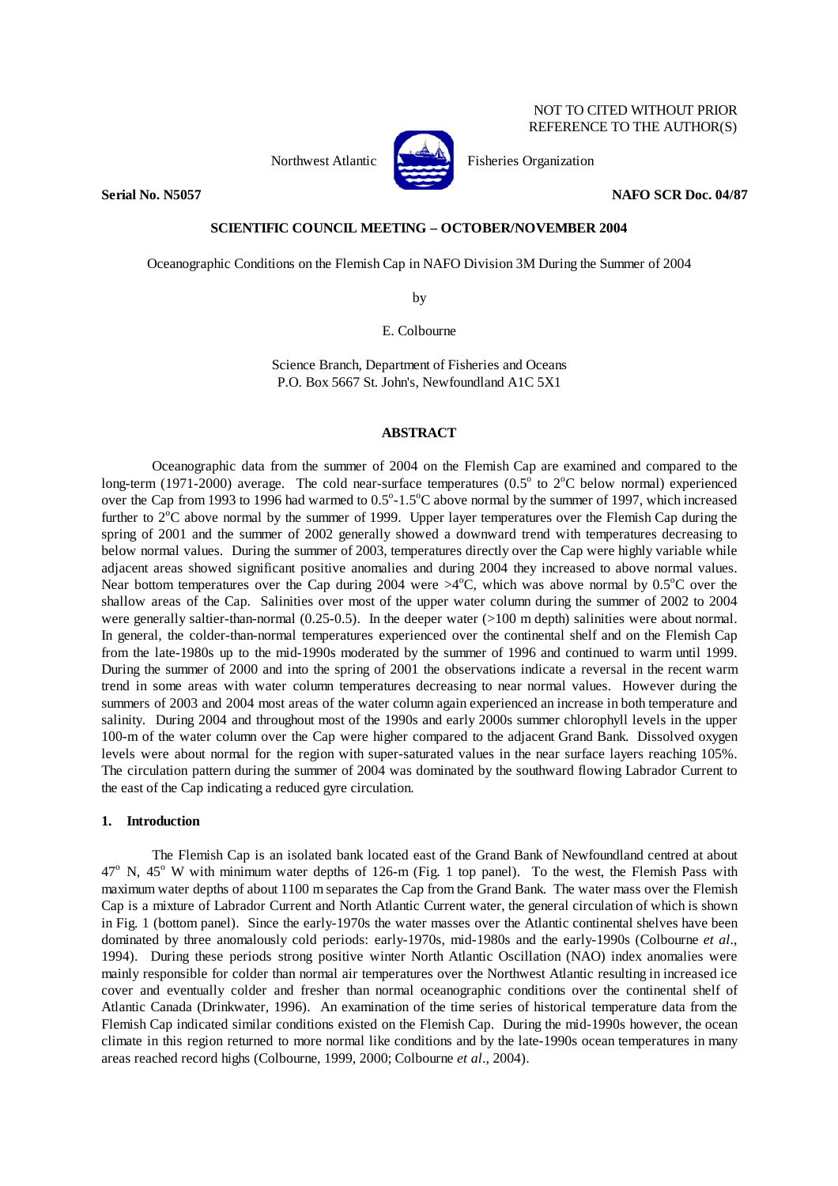

Northwest Atlantic **Atlantic** Fisheries Organization

**Serial No. N5057 NAFO SCR Doc. 04/87** 

## **SCIENTIFIC COUNCIL MEETING – OCTOBER/NOVEMBER 2004**

Oceanographic Conditions on the Flemish Cap in NAFO Division 3M During the Summer of 2004

by

E. Colbourne

Science Branch, Department of Fisheries and Oceans P.O. Box 5667 St. John's, Newfoundland A1C 5X1

# **ABSTRACT**

 Oceanographic data from the summer of 2004 on the Flemish Cap are examined and compared to the long-term (1971-2000) average. The cold near-surface temperatures ( $0.5^{\circ}$  to  $2^{\circ}$ C below normal) experienced over the Cap from 1993 to 1996 had warmed to  $0.5^{\circ}$ -1.5°C above normal by the summer of 1997, which increased further to  $2^{\circ}$ C above normal by the summer of 1999. Upper layer temperatures over the Flemish Cap during the spring of 2001 and the summer of 2002 generally showed a downward trend with temperatures decreasing to below normal values. During the summer of 2003, temperatures directly over the Cap were highly variable while adjacent areas showed significant positive anomalies and during 2004 they increased to above normal values. Near bottom temperatures over the Cap during 2004 were  $>4^{\circ}$ C, which was above normal by 0.5<sup>o</sup>C over the shallow areas of the Cap. Salinities over most of the upper water column during the summer of 2002 to 2004 were generally saltier-than-normal (0.25-0.5). In the deeper water (>100 m depth) salinities were about normal. In general, the colder-than-normal temperatures experienced over the continental shelf and on the Flemish Cap from the late-1980s up to the mid-1990s moderated by the summer of 1996 and continued to warm until 1999. During the summer of 2000 and into the spring of 2001 the observations indicate a reversal in the recent warm trend in some areas with water column temperatures decreasing to near normal values. However during the summers of 2003 and 2004 most areas of the water column again experienced an increase in both temperature and salinity. During 2004 and throughout most of the 1990s and early 2000s summer chlorophyll levels in the upper 100-m of the water column over the Cap were higher compared to the adjacent Grand Bank. Dissolved oxygen levels were about normal for the region with super-saturated values in the near surface layers reaching 105%. The circulation pattern during the summer of 2004 was dominated by the southward flowing Labrador Current to the east of the Cap indicating a reduced gyre circulation.

## **1. Introduction**

 The Flemish Cap is an isolated bank located east of the Grand Bank of Newfoundland centred at about 47<sup>°</sup> N, 45<sup>°</sup> W with minimum water depths of 126-m (Fig. 1 top panel). To the west, the Flemish Pass with maximum water depths of about 1100 m separates the Cap from the Grand Bank. The water mass over the Flemish Cap is a mixture of Labrador Current and North Atlantic Current water, the general circulation of which is shown in Fig. 1 (bottom panel). Since the early-1970s the water masses over the Atlantic continental shelves have been dominated by three anomalously cold periods: early-1970s, mid-1980s and the early-1990s (Colbourne *et al*., 1994). During these periods strong positive winter North Atlantic Oscillation (NAO) index anomalies were mainly responsible for colder than normal air temperatures over the Northwest Atlantic resulting in increased ice cover and eventually colder and fresher than normal oceanographic conditions over the continental shelf of Atlantic Canada (Drinkwater, 1996). An examination of the time series of historical temperature data from the Flemish Cap indicated similar conditions existed on the Flemish Cap. During the mid-1990s however, the ocean climate in this region returned to more normal like conditions and by the late-1990s ocean temperatures in many areas reached record highs (Colbourne, 1999, 2000; Colbourne *et al*., 2004).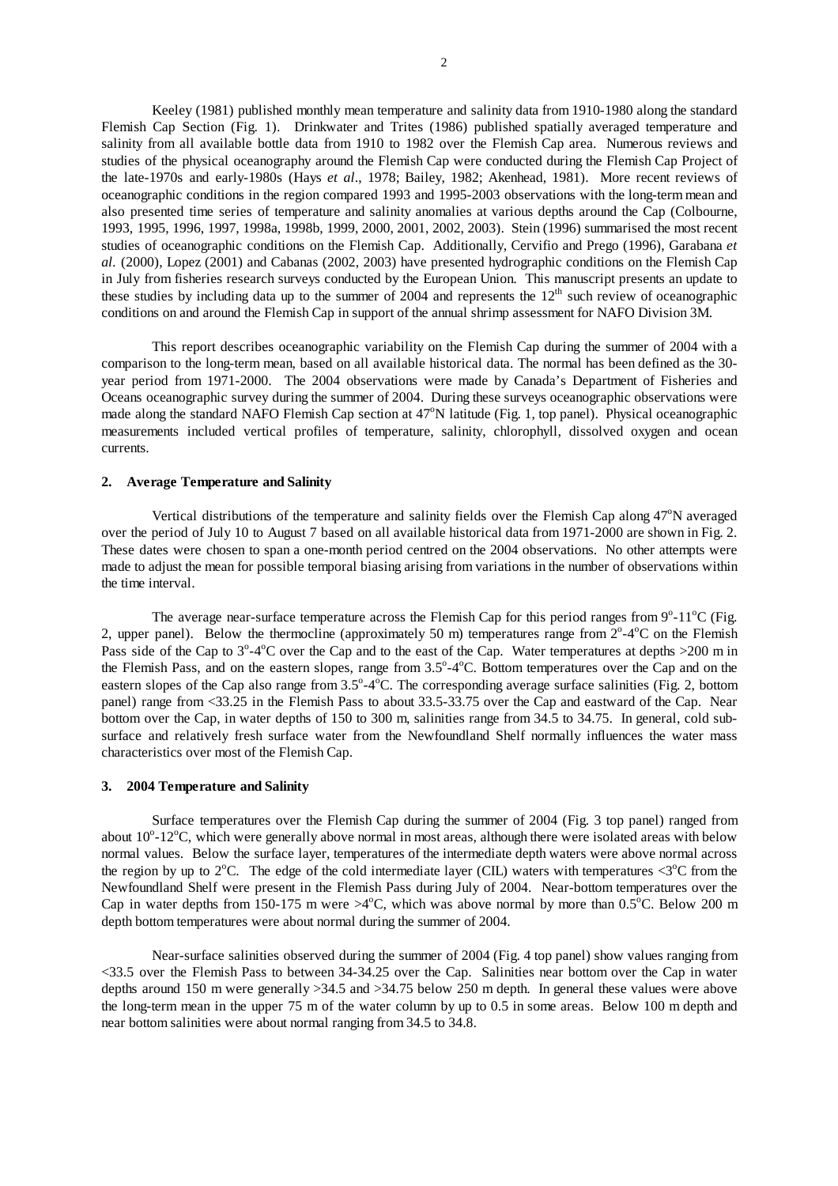Keeley (1981) published monthly mean temperature and salinity data from 1910-1980 along the standard Flemish Cap Section (Fig. 1). Drinkwater and Trites (1986) published spatially averaged temperature and salinity from all available bottle data from 1910 to 1982 over the Flemish Cap area. Numerous reviews and studies of the physical oceanography around the Flemish Cap were conducted during the Flemish Cap Project of the late-1970s and early-1980s (Hays *et al*., 1978; Bailey, 1982; Akenhead, 1981). More recent reviews of oceanographic conditions in the region compared 1993 and 1995-2003 observations with the long-term mean and also presented time series of temperature and salinity anomalies at various depths around the Cap (Colbourne, 1993, 1995, 1996, 1997, 1998a, 1998b, 1999, 2000, 2001, 2002, 2003). Stein (1996) summarised the most recent studies of oceanographic conditions on the Flemish Cap. Additionally, Cervifio and Prego (1996), Garabana *et al.* (2000), Lopez (2001) and Cabanas (2002, 2003) have presented hydrographic conditions on the Flemish Cap in July from fisheries research surveys conducted by the European Union. This manuscript presents an update to these studies by including data up to the summer of 2004 and represents the  $12<sup>th</sup>$  such review of oceanographic conditions on and around the Flemish Cap in support of the annual shrimp assessment for NAFO Division 3M.

 This report describes oceanographic variability on the Flemish Cap during the summer of 2004 with a comparison to the long-term mean, based on all available historical data. The normal has been defined as the 30 year period from 1971-2000. The 2004 observations were made by Canada's Department of Fisheries and Oceans oceanographic survey during the summer of 2004. During these surveys oceanographic observations were made along the standard NAFO Flemish Cap section at 47°N latitude (Fig. 1, top panel). Physical oceanographic measurements included vertical profiles of temperature, salinity, chlorophyll, dissolved oxygen and ocean currents.

#### **2. Average Temperature and Salinity**

Vertical distributions of the temperature and salinity fields over the Flemish Cap along 47°N averaged over the period of July 10 to August 7 based on all available historical data from 1971-2000 are shown in Fig. 2. These dates were chosen to span a one-month period centred on the 2004 observations. No other attempts were made to adjust the mean for possible temporal biasing arising from variations in the number of observations within the time interval.

The average near-surface temperature across the Flemish Cap for this period ranges from  $9^{\circ}$ -11<sup>o</sup>C (Fig. 2, upper panel). Below the thermocline (approximately 50 m) temperatures range from  $2^{\circ}$ -4 $^{\circ}$ C on the Flemish Pass side of the Cap to  $3^{\circ}$ -4 $^{\circ}$ C over the Cap and to the east of the Cap. Water temperatures at depths >200 m in the Flemish Pass, and on the eastern slopes, range from 3.5°-4°C. Bottom temperatures over the Cap and on the eastern slopes of the Cap also range from  $3.5^{\circ}$ -4 $^{\circ}$ C. The corresponding average surface salinities (Fig. 2, bottom panel) range from <33.25 in the Flemish Pass to about 33.5-33.75 over the Cap and eastward of the Cap. Near bottom over the Cap, in water depths of 150 to 300 m, salinities range from 34.5 to 34.75. In general, cold subsurface and relatively fresh surface water from the Newfoundland Shelf normally influences the water mass characteristics over most of the Flemish Cap.

#### **3. 2004 Temperature and Salinity**

 Surface temperatures over the Flemish Cap during the summer of 2004 (Fig. 3 top panel) ranged from about 10<sup>°</sup>-12<sup>°</sup>C, which were generally above normal in most areas, although there were isolated areas with below normal values. Below the surface layer, temperatures of the intermediate depth waters were above normal across the region by up to  $2^{\circ}$ C. The edge of the cold intermediate layer (CIL) waters with temperatures <3 $^{\circ}$ C from the Newfoundland Shelf were present in the Flemish Pass during July of 2004. Near-bottom temperatures over the Cap in water depths from 150-175 m were  $>4^{\circ}$ C, which was above normal by more than 0.5<sup> $\circ$ </sup>C. Below 200 m depth bottom temperatures were about normal during the summer of 2004.

 Near-surface salinities observed during the summer of 2004 (Fig. 4 top panel) show values ranging from <33.5 over the Flemish Pass to between 34-34.25 over the Cap. Salinities near bottom over the Cap in water depths around 150 m were generally >34.5 and >34.75 below 250 m depth. In general these values were above the long-term mean in the upper 75 m of the water column by up to 0.5 in some areas. Below 100 m depth and near bottom salinities were about normal ranging from 34.5 to 34.8.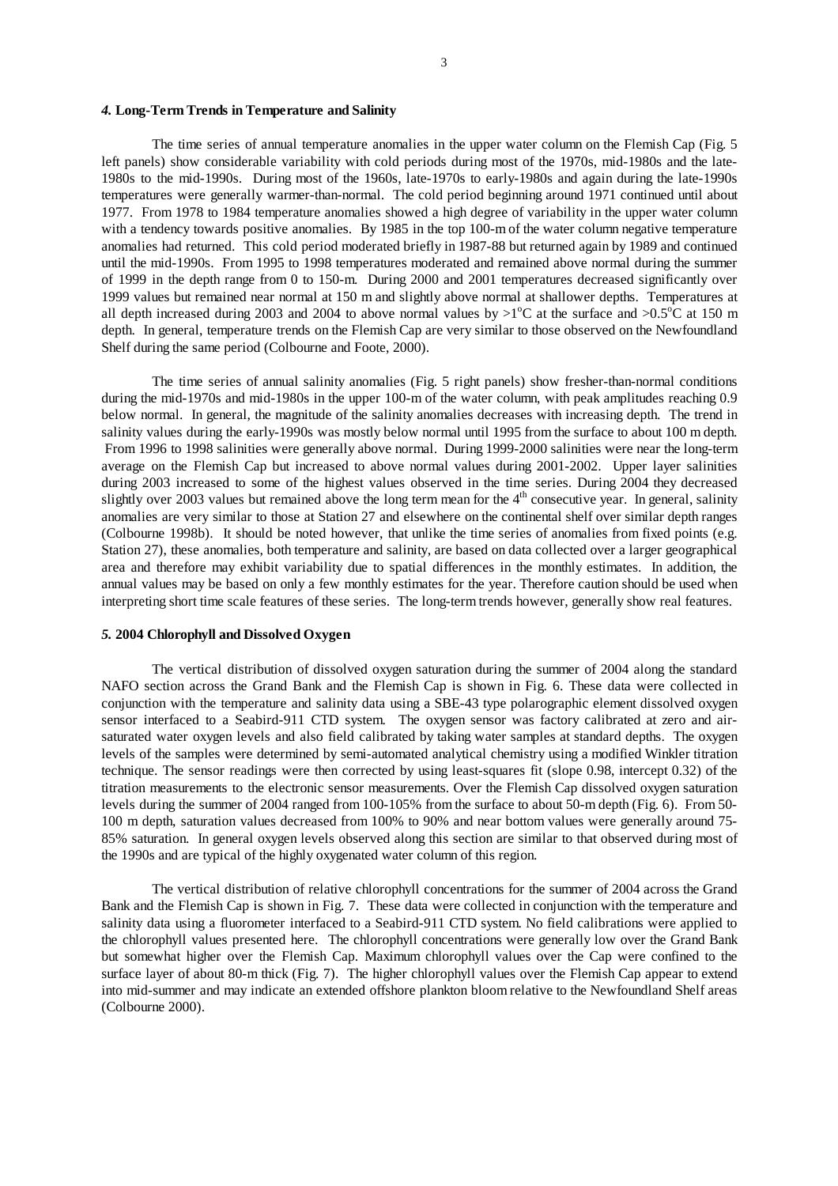### *4.* **Long-Term Trends in Temperature and Salinity**

 The time series of annual temperature anomalies in the upper water column on the Flemish Cap (Fig. 5 left panels) show considerable variability with cold periods during most of the 1970s, mid-1980s and the late-1980s to the mid-1990s. During most of the 1960s, late-1970s to early-1980s and again during the late-1990s temperatures were generally warmer-than-normal. The cold period beginning around 1971 continued until about 1977. From 1978 to 1984 temperature anomalies showed a high degree of variability in the upper water column with a tendency towards positive anomalies. By 1985 in the top 100-m of the water column negative temperature anomalies had returned. This cold period moderated briefly in 1987-88 but returned again by 1989 and continued until the mid-1990s. From 1995 to 1998 temperatures moderated and remained above normal during the summer of 1999 in the depth range from 0 to 150-m. During 2000 and 2001 temperatures decreased significantly over 1999 values but remained near normal at 150 m and slightly above normal at shallower depths. Temperatures at all depth increased during 2003 and 2004 to above normal values by  $>1^{\circ}$ C at the surface and  $>0.5^{\circ}$ C at 150 m depth. In general, temperature trends on the Flemish Cap are very similar to those observed on the Newfoundland Shelf during the same period (Colbourne and Foote, 2000).

The time series of annual salinity anomalies (Fig. 5 right panels) show fresher-than-normal conditions during the mid-1970s and mid-1980s in the upper 100-m of the water column, with peak amplitudes reaching 0.9 below normal. In general, the magnitude of the salinity anomalies decreases with increasing depth. The trend in salinity values during the early-1990s was mostly below normal until 1995 from the surface to about 100 m depth. From 1996 to 1998 salinities were generally above normal. During 1999-2000 salinities were near the long-term average on the Flemish Cap but increased to above normal values during 2001-2002. Upper layer salinities during 2003 increased to some of the highest values observed in the time series. During 2004 they decreased slightly over 2003 values but remained above the long term mean for the  $4<sup>th</sup>$  consecutive year. In general, salinity anomalies are very similar to those at Station 27 and elsewhere on the continental shelf over similar depth ranges (Colbourne 1998b). It should be noted however, that unlike the time series of anomalies from fixed points (e.g. Station 27), these anomalies, both temperature and salinity, are based on data collected over a larger geographical area and therefore may exhibit variability due to spatial differences in the monthly estimates. In addition, the annual values may be based on only a few monthly estimates for the year. Therefore caution should be used when interpreting short time scale features of these series. The long-term trends however, generally show real features.

### *5.* **2004 Chlorophyll and Dissolved Oxygen**

 The vertical distribution of dissolved oxygen saturation during the summer of 2004 along the standard NAFO section across the Grand Bank and the Flemish Cap is shown in Fig. 6. These data were collected in conjunction with the temperature and salinity data using a SBE-43 type polarographic element dissolved oxygen sensor interfaced to a Seabird-911 CTD system. The oxygen sensor was factory calibrated at zero and airsaturated water oxygen levels and also field calibrated by taking water samples at standard depths. The oxygen levels of the samples were determined by semi-automated analytical chemistry using a modified Winkler titration technique. The sensor readings were then corrected by using least-squares fit (slope 0.98, intercept 0.32) of the titration measurements to the electronic sensor measurements. Over the Flemish Cap dissolved oxygen saturation levels during the summer of 2004 ranged from 100-105% from the surface to about 50-m depth (Fig. 6). From 50- 100 m depth, saturation values decreased from 100% to 90% and near bottom values were generally around 75- 85% saturation. In general oxygen levels observed along this section are similar to that observed during most of the 1990s and are typical of the highly oxygenated water column of this region.

 The vertical distribution of relative chlorophyll concentrations for the summer of 2004 across the Grand Bank and the Flemish Cap is shown in Fig. 7. These data were collected in conjunction with the temperature and salinity data using a fluorometer interfaced to a Seabird-911 CTD system. No field calibrations were applied to the chlorophyll values presented here. The chlorophyll concentrations were generally low over the Grand Bank but somewhat higher over the Flemish Cap. Maximum chlorophyll values over the Cap were confined to the surface layer of about 80-m thick (Fig. 7). The higher chlorophyll values over the Flemish Cap appear to extend into mid-summer and may indicate an extended offshore plankton bloom relative to the Newfoundland Shelf areas (Colbourne 2000).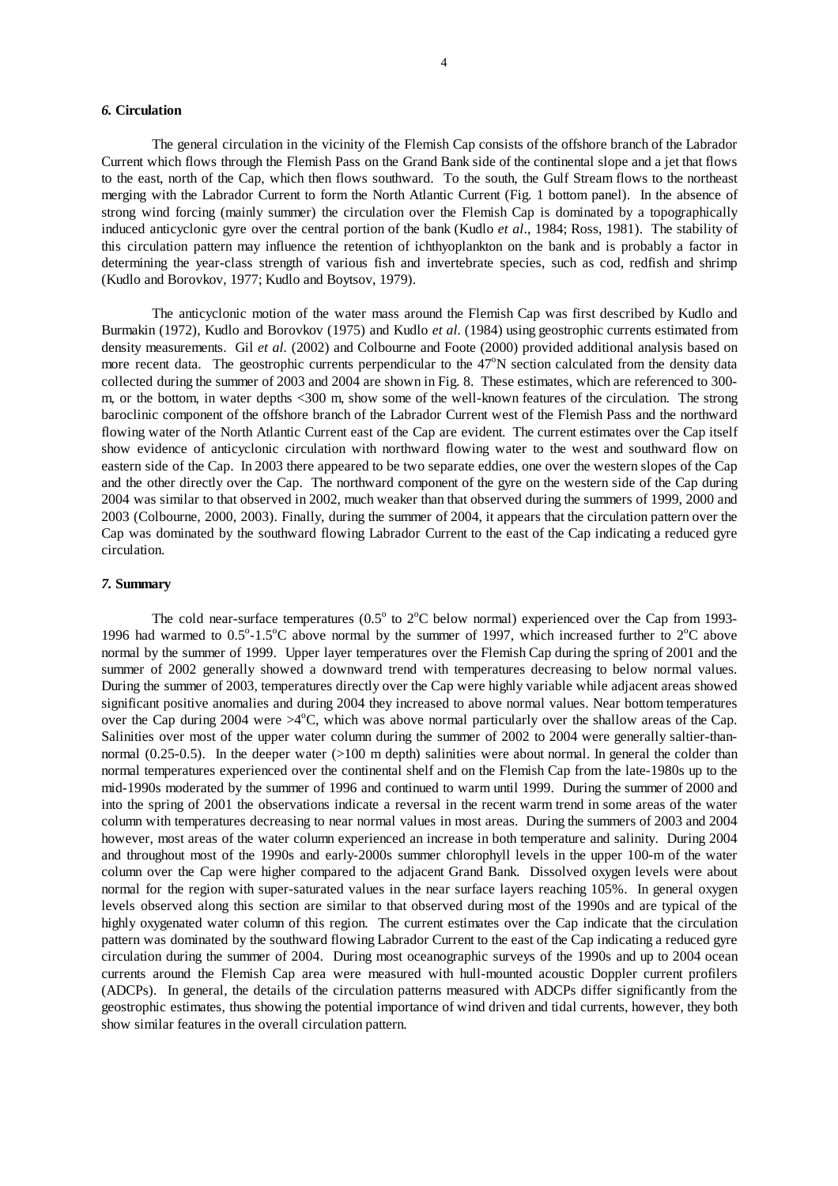### *6.* **Circulation**

 The general circulation in the vicinity of the Flemish Cap consists of the offshore branch of the Labrador Current which flows through the Flemish Pass on the Grand Bank side of the continental slope and a jet that flows to the east, north of the Cap, which then flows southward. To the south, the Gulf Stream flows to the northeast merging with the Labrador Current to form the North Atlantic Current (Fig. 1 bottom panel). In the absence of strong wind forcing (mainly summer) the circulation over the Flemish Cap is dominated by a topographically induced anticyclonic gyre over the central portion of the bank (Kudlo *et al*., 1984; Ross, 1981). The stability of this circulation pattern may influence the retention of ichthyoplankton on the bank and is probably a factor in determining the year-class strength of various fish and invertebrate species, such as cod, redfish and shrimp (Kudlo and Borovkov, 1977; Kudlo and Boytsov, 1979).

 The anticyclonic motion of the water mass around the Flemish Cap was first described by Kudlo and Burmakin (1972), Kudlo and Borovkov (1975) and Kudlo *et al.* (1984) using geostrophic currents estimated from density measurements. Gil *et al.* (2002) and Colbourne and Foote (2000) provided additional analysis based on more recent data. The geostrophic currents perpendicular to the  $47^{\circ}$ N section calculated from the density data collected during the summer of 2003 and 2004 are shown in Fig. 8. These estimates, which are referenced to 300 m, or the bottom, in water depths <300 m, show some of the well-known features of the circulation. The strong baroclinic component of the offshore branch of the Labrador Current west of the Flemish Pass and the northward flowing water of the North Atlantic Current east of the Cap are evident. The current estimates over the Cap itself show evidence of anticyclonic circulation with northward flowing water to the west and southward flow on eastern side of the Cap. In 2003 there appeared to be two separate eddies, one over the western slopes of the Cap and the other directly over the Cap. The northward component of the gyre on the western side of the Cap during 2004 was similar to that observed in 2002, much weaker than that observed during the summers of 1999, 2000 and 2003 (Colbourne, 2000, 2003). Finally, during the summer of 2004, it appears that the circulation pattern over the Cap was dominated by the southward flowing Labrador Current to the east of the Cap indicating a reduced gyre circulation.

## *7.* **Summary**

The cold near-surface temperatures  $(0.5^{\circ}$  to  $2^{\circ}$ C below normal) experienced over the Cap from 1993-1996 had warmed to  $0.5^{\circ}$ -1.5°C above normal by the summer of 1997, which increased further to  $2^{\circ}$ C above normal by the summer of 1999. Upper layer temperatures over the Flemish Cap during the spring of 2001 and the summer of 2002 generally showed a downward trend with temperatures decreasing to below normal values. During the summer of 2003, temperatures directly over the Cap were highly variable while adjacent areas showed significant positive anomalies and during 2004 they increased to above normal values. Near bottom temperatures over the Cap during 2004 were  $>4^{\circ}$ C, which was above normal particularly over the shallow areas of the Cap. Salinities over most of the upper water column during the summer of 2002 to 2004 were generally saltier-thannormal (0.25-0.5). In the deeper water (>100 m depth) salinities were about normal. In general the colder than normal temperatures experienced over the continental shelf and on the Flemish Cap from the late-1980s up to the mid-1990s moderated by the summer of 1996 and continued to warm until 1999. During the summer of 2000 and into the spring of 2001 the observations indicate a reversal in the recent warm trend in some areas of the water column with temperatures decreasing to near normal values in most areas. During the summers of 2003 and 2004 however, most areas of the water column experienced an increase in both temperature and salinity. During 2004 and throughout most of the 1990s and early-2000s summer chlorophyll levels in the upper 100-m of the water column over the Cap were higher compared to the adjacent Grand Bank. Dissolved oxygen levels were about normal for the region with super-saturated values in the near surface layers reaching 105%. In general oxygen levels observed along this section are similar to that observed during most of the 1990s and are typical of the highly oxygenated water column of this region. The current estimates over the Cap indicate that the circulation pattern was dominated by the southward flowing Labrador Current to the east of the Cap indicating a reduced gyre circulation during the summer of 2004. During most oceanographic surveys of the 1990s and up to 2004 ocean currents around the Flemish Cap area were measured with hull-mounted acoustic Doppler current profilers (ADCPs). In general, the details of the circulation patterns measured with ADCPs differ significantly from the geostrophic estimates, thus showing the potential importance of wind driven and tidal currents, however, they both show similar features in the overall circulation pattern.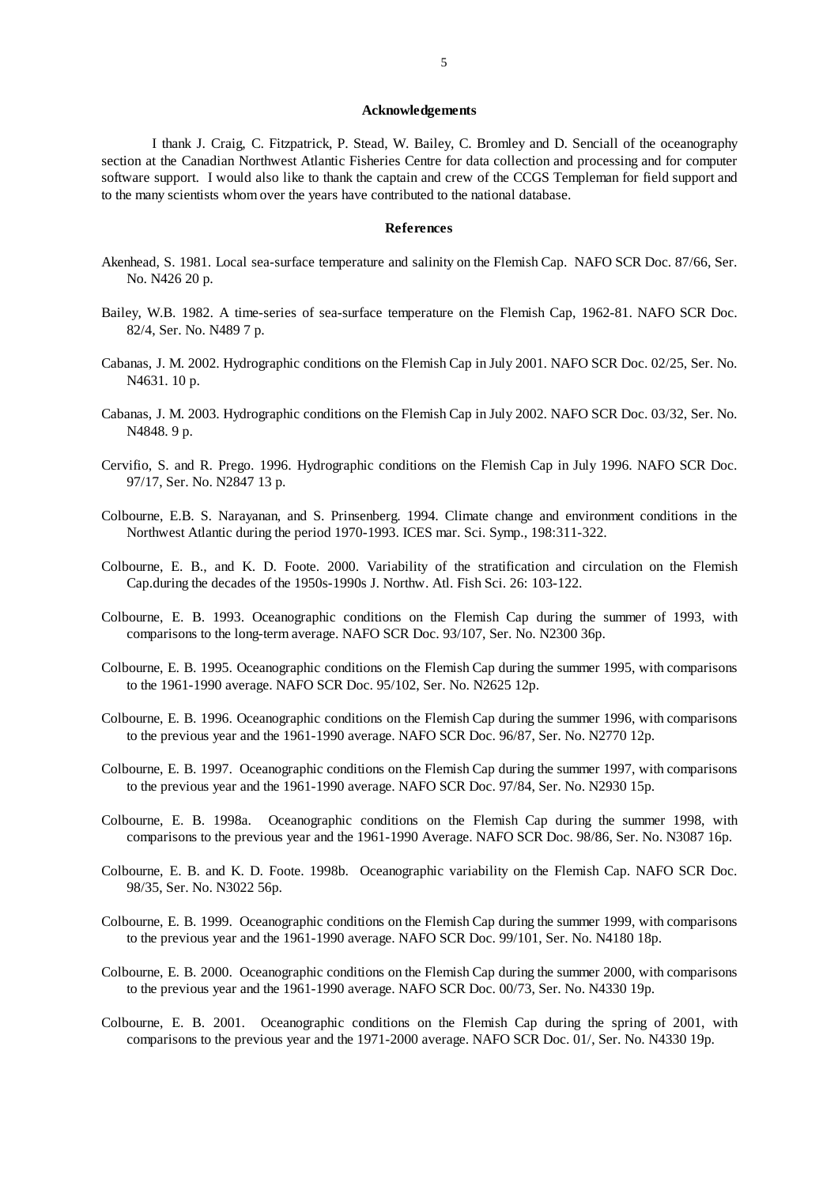#### **Acknowledgements**

 I thank J. Craig, C. Fitzpatrick, P. Stead, W. Bailey, C. Bromley and D. Senciall of the oceanography section at the Canadian Northwest Atlantic Fisheries Centre for data collection and processing and for computer software support. I would also like to thank the captain and crew of the CCGS Templeman for field support and to the many scientists whom over the years have contributed to the national database.

#### **References**

- Akenhead, S. 1981. Local sea-surface temperature and salinity on the Flemish Cap. NAFO SCR Doc. 87/66, Ser. No. N426 20 p.
- Bailey, W.B. 1982. A time-series of sea-surface temperature on the Flemish Cap, 1962-81. NAFO SCR Doc. 82/4, Ser. No. N489 7 p.
- Cabanas, J. M. 2002. Hydrographic conditions on the Flemish Cap in July 2001. NAFO SCR Doc. 02/25, Ser. No. N4631. 10 p.
- Cabanas, J. M. 2003. Hydrographic conditions on the Flemish Cap in July 2002. NAFO SCR Doc. 03/32, Ser. No. N4848. 9 p.
- Cervifio, S. and R. Prego. 1996. Hydrographic conditions on the Flemish Cap in July 1996. NAFO SCR Doc. 97/17, Ser. No. N2847 13 p.
- Colbourne, E.B. S. Narayanan, and S. Prinsenberg. 1994. Climate change and environment conditions in the Northwest Atlantic during the period 1970-1993. ICES mar. Sci. Symp., 198:311-322.
- Colbourne, E. B., and K. D. Foote. 2000. Variability of the stratification and circulation on the Flemish Cap.during the decades of the 1950s-1990s J. Northw. Atl. Fish Sci. 26: 103-122.
- Colbourne, E. B. 1993. Oceanographic conditions on the Flemish Cap during the summer of 1993, with comparisons to the long-term average. NAFO SCR Doc. 93/107, Ser. No. N2300 36p.
- Colbourne, E. B. 1995. Oceanographic conditions on the Flemish Cap during the summer 1995, with comparisons to the 1961-1990 average. NAFO SCR Doc. 95/102, Ser. No. N2625 12p.
- Colbourne, E. B. 1996. Oceanographic conditions on the Flemish Cap during the summer 1996, with comparisons to the previous year and the 1961-1990 average. NAFO SCR Doc. 96/87, Ser. No. N2770 12p.
- Colbourne, E. B. 1997. Oceanographic conditions on the Flemish Cap during the summer 1997, with comparisons to the previous year and the 1961-1990 average. NAFO SCR Doc. 97/84, Ser. No. N2930 15p.
- Colbourne, E. B. 1998a. Oceanographic conditions on the Flemish Cap during the summer 1998, with comparisons to the previous year and the 1961-1990 Average. NAFO SCR Doc. 98/86, Ser. No. N3087 16p.
- Colbourne, E. B. and K. D. Foote. 1998b. Oceanographic variability on the Flemish Cap. NAFO SCR Doc. 98/35, Ser. No. N3022 56p.
- Colbourne, E. B. 1999. Oceanographic conditions on the Flemish Cap during the summer 1999, with comparisons to the previous year and the 1961-1990 average. NAFO SCR Doc. 99/101, Ser. No. N4180 18p.
- Colbourne, E. B. 2000. Oceanographic conditions on the Flemish Cap during the summer 2000, with comparisons to the previous year and the 1961-1990 average. NAFO SCR Doc. 00/73, Ser. No. N4330 19p.
- Colbourne, E. B. 2001. Oceanographic conditions on the Flemish Cap during the spring of 2001, with comparisons to the previous year and the 1971-2000 average. NAFO SCR Doc. 01/, Ser. No. N4330 19p.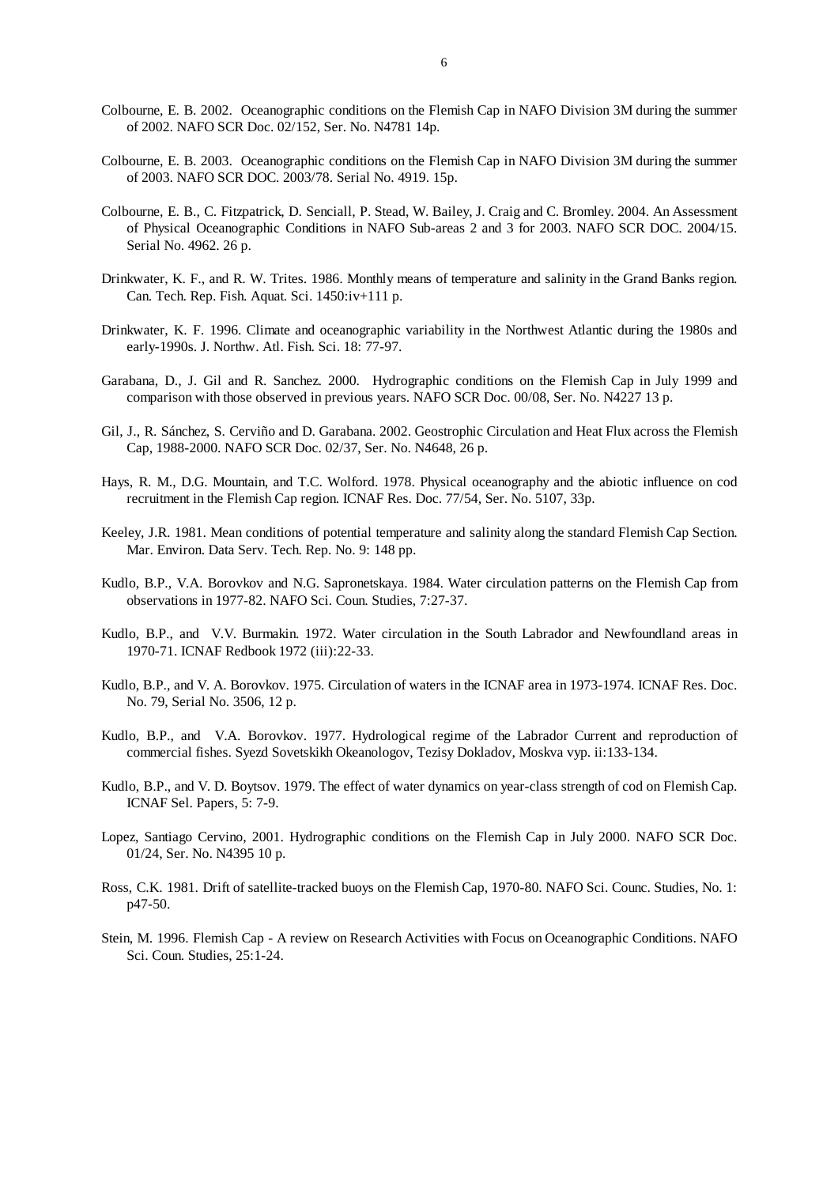- Colbourne, E. B. 2002. Oceanographic conditions on the Flemish Cap in NAFO Division 3M during the summer of 2002. NAFO SCR Doc. 02/152, Ser. No. N4781 14p.
- Colbourne, E. B. 2003. Oceanographic conditions on the Flemish Cap in NAFO Division 3M during the summer of 2003. NAFO SCR DOC. 2003/78. Serial No. 4919. 15p.
- Colbourne, E. B., C. Fitzpatrick, D. Senciall, P. Stead, W. Bailey, J. Craig and C. Bromley. 2004. An Assessment of Physical Oceanographic Conditions in NAFO Sub-areas 2 and 3 for 2003. NAFO SCR DOC. 2004/15. Serial No. 4962. 26 p.
- Drinkwater, K. F., and R. W. Trites. 1986. Monthly means of temperature and salinity in the Grand Banks region. Can. Tech. Rep. Fish. Aquat. Sci. 1450:iv+111 p.
- Drinkwater, K. F. 1996. Climate and oceanographic variability in the Northwest Atlantic during the 1980s and early-1990s. J. Northw. Atl. Fish. Sci. 18: 77-97.
- Garabana, D., J. Gil and R. Sanchez. 2000. Hydrographic conditions on the Flemish Cap in July 1999 and comparison with those observed in previous years. NAFO SCR Doc. 00/08, Ser. No. N4227 13 p.
- Gil, J., R. Sánchez, S. Cerviño and D. Garabana. 2002. Geostrophic Circulation and Heat Flux across the Flemish Cap, 1988-2000. NAFO SCR Doc. 02/37, Ser. No. N4648, 26 p.
- Hays, R. M., D.G. Mountain, and T.C. Wolford. 1978. Physical oceanography and the abiotic influence on cod recruitment in the Flemish Cap region. ICNAF Res. Doc. 77/54, Ser. No. 5107, 33p.
- Keeley, J.R. 1981. Mean conditions of potential temperature and salinity along the standard Flemish Cap Section. Mar. Environ. Data Serv. Tech. Rep. No. 9: 148 pp.
- Kudlo, B.P., V.A. Borovkov and N.G. Sapronetskaya. 1984. Water circulation patterns on the Flemish Cap from observations in 1977-82. NAFO Sci. Coun. Studies, 7:27-37.
- Kudlo, B.P., and V.V. Burmakin. 1972. Water circulation in the South Labrador and Newfoundland areas in 1970-71. ICNAF Redbook 1972 (iii):22-33.
- Kudlo, B.P., and V. A. Borovkov. 1975. Circulation of waters in the ICNAF area in 1973-1974. ICNAF Res. Doc. No. 79, Serial No. 3506, 12 p.
- Kudlo, B.P., and V.A. Borovkov. 1977. Hydrological regime of the Labrador Current and reproduction of commercial fishes. Syezd Sovetskikh Okeanologov, Tezisy Dokladov, Moskva vyp. ii:133-134.
- Kudlo, B.P., and V. D. Boytsov. 1979. The effect of water dynamics on year-class strength of cod on Flemish Cap. ICNAF Sel. Papers, 5: 7-9.
- Lopez, Santiago Cervino, 2001. Hydrographic conditions on the Flemish Cap in July 2000. NAFO SCR Doc. 01/24, Ser. No. N4395 10 p.
- Ross, C.K. 1981. Drift of satellite-tracked buoys on the Flemish Cap, 1970-80. NAFO Sci. Counc. Studies, No. 1: p47-50.
- Stein, M. 1996. Flemish Cap A review on Research Activities with Focus on Oceanographic Conditions. NAFO Sci. Coun. Studies, 25:1-24.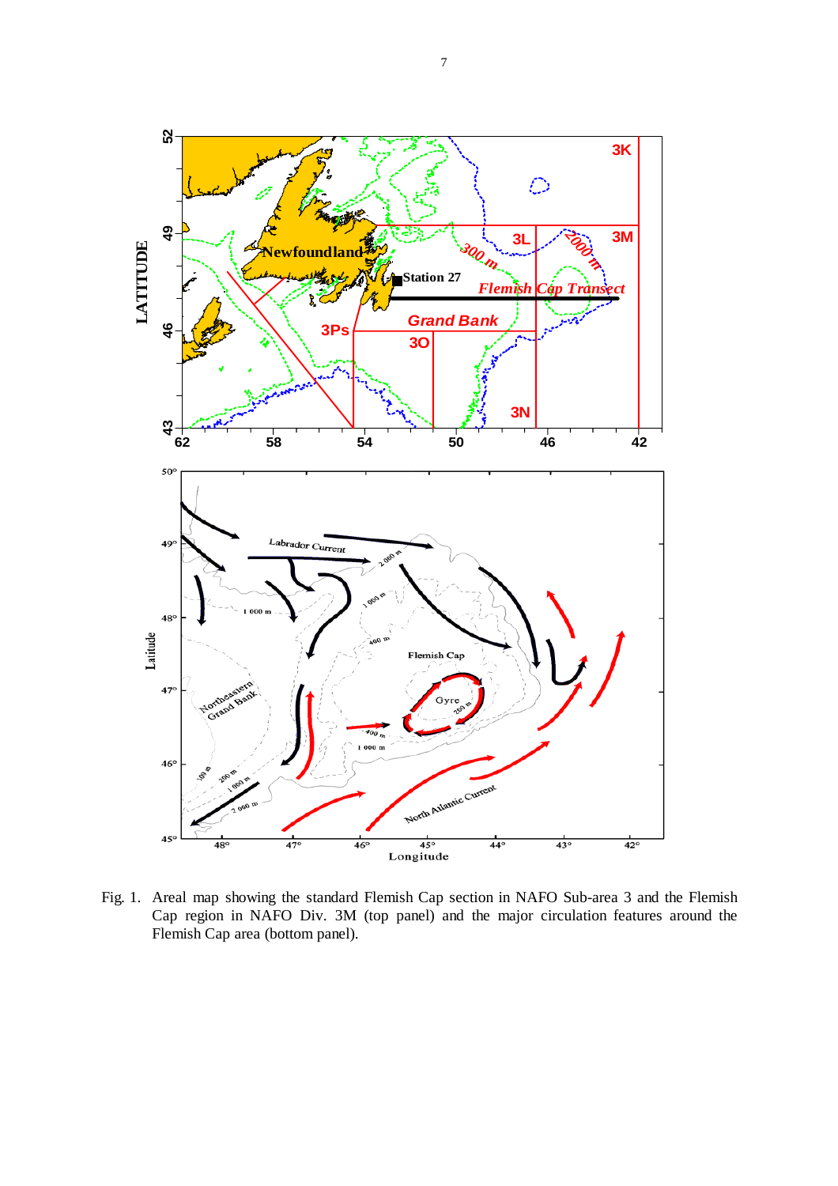

Fig. 1. Areal map showing the standard Flemish Cap section in NAFO Sub-area 3 and the Flemish Cap region in NAFO Div. 3M (top panel) and the major circulation features around the Flemish Cap area (bottom panel).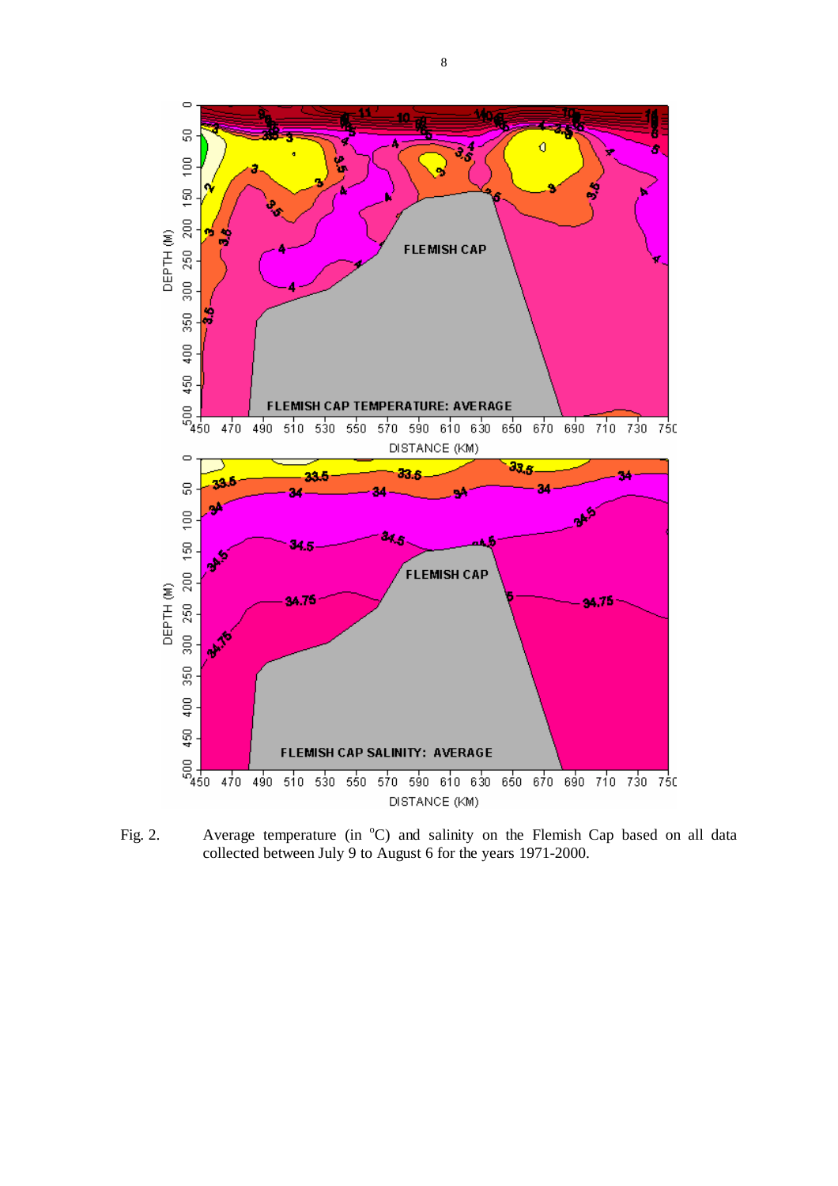

Fig. 2. Average temperature (in  $^{\circ}$ C) and salinity on the Flemish Cap based on all data collected between July 9 to August 6 for the years 1971-2000.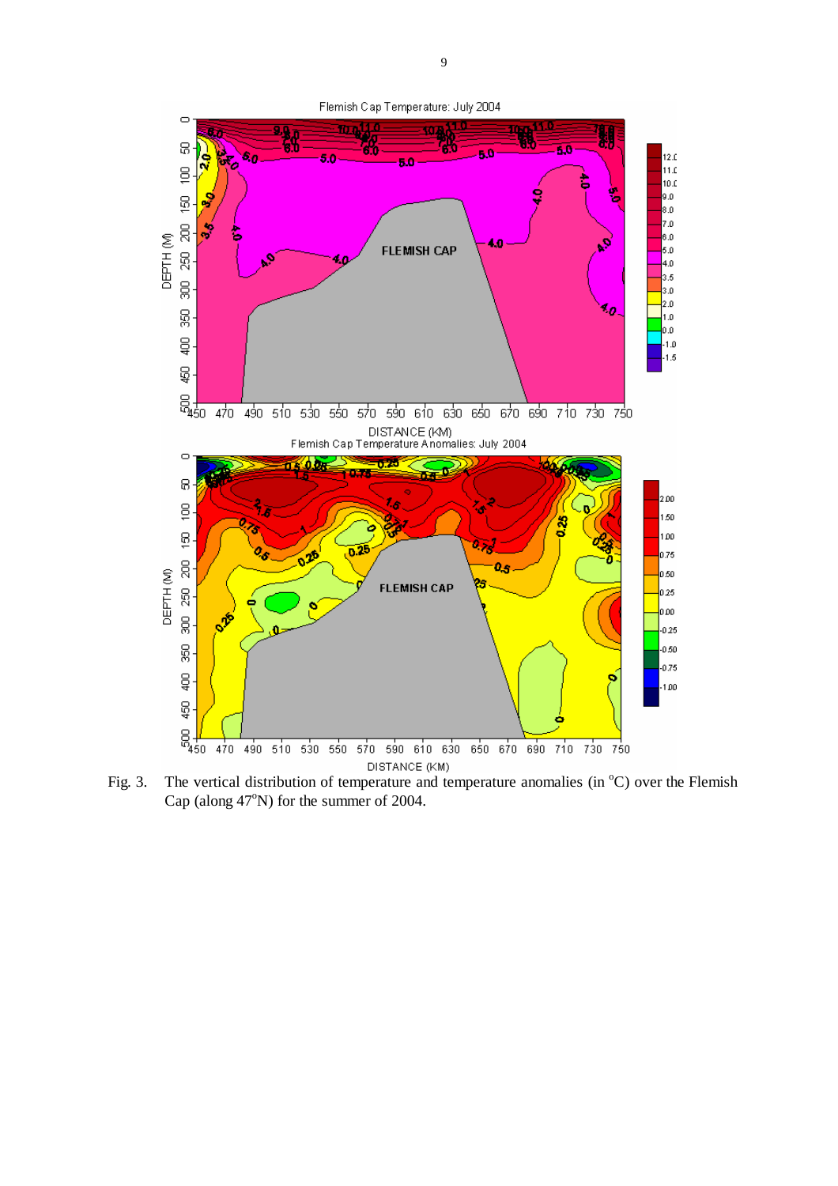

Fig. 3. The vertical distribution of temperature and temperature anomalies (in  $^{\circ}C$ ) over the Flemish Cap (along  $47^{\circ}$ N) for the summer of 2004.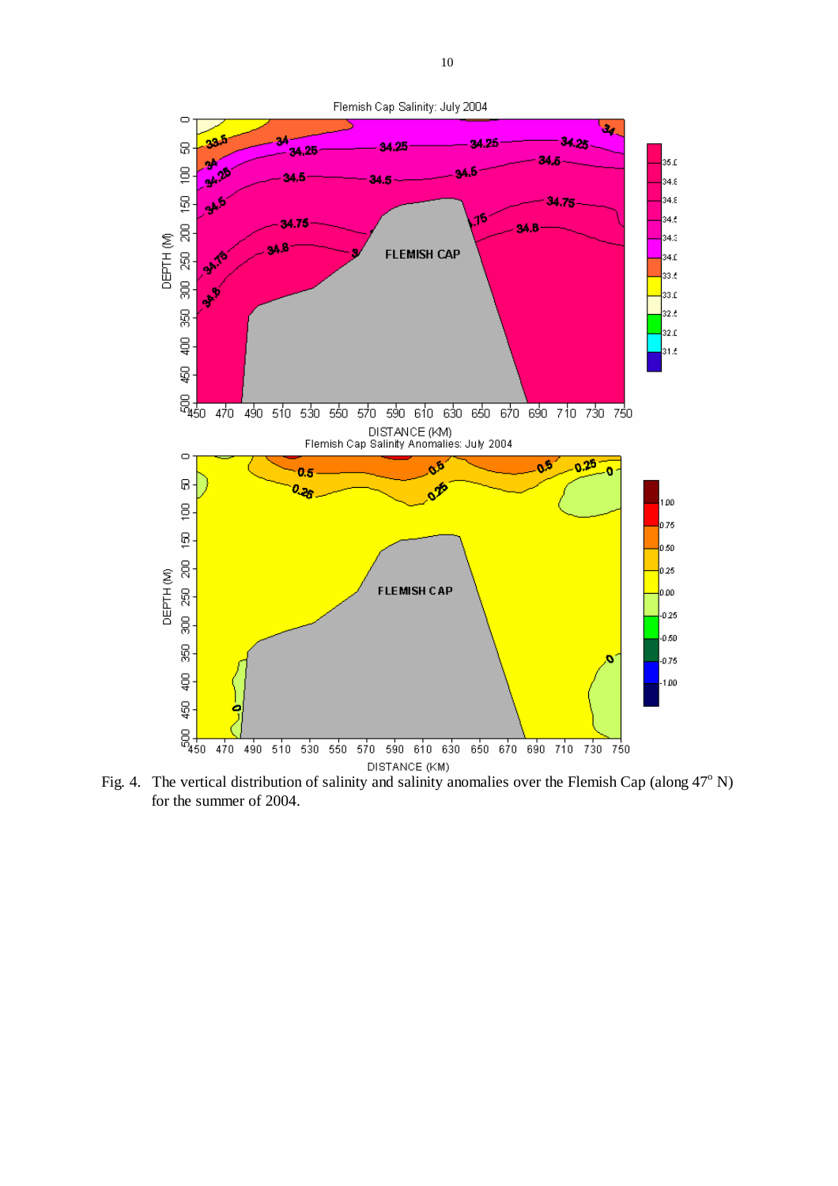

Fig. 4. The vertical distribution of salinity and salinity anomalies over the Flemish Cap (along  $47^{\circ}$  N) for the summer of 2004.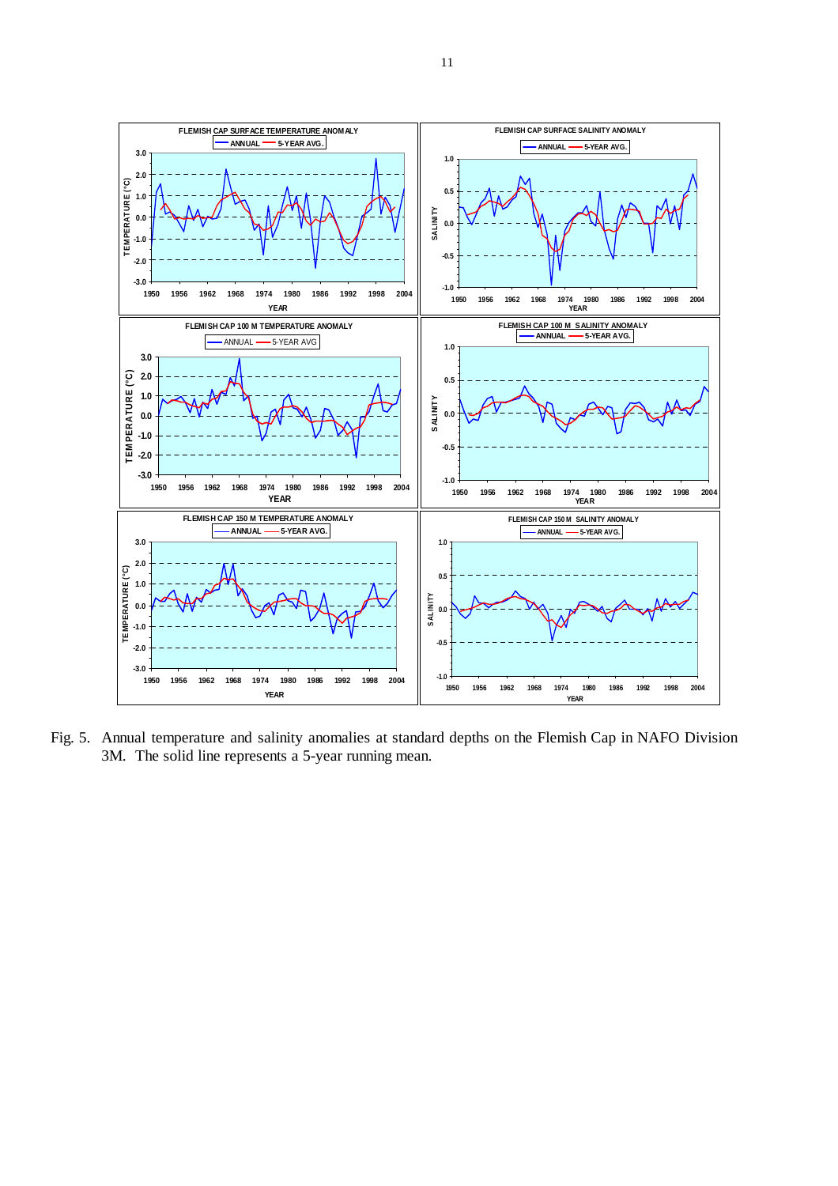

Fig. 5. Annual temperature and salinity anomalies at standard depths on the Flemish Cap in NAFO Division 3M. The solid line represents a 5-year running mean.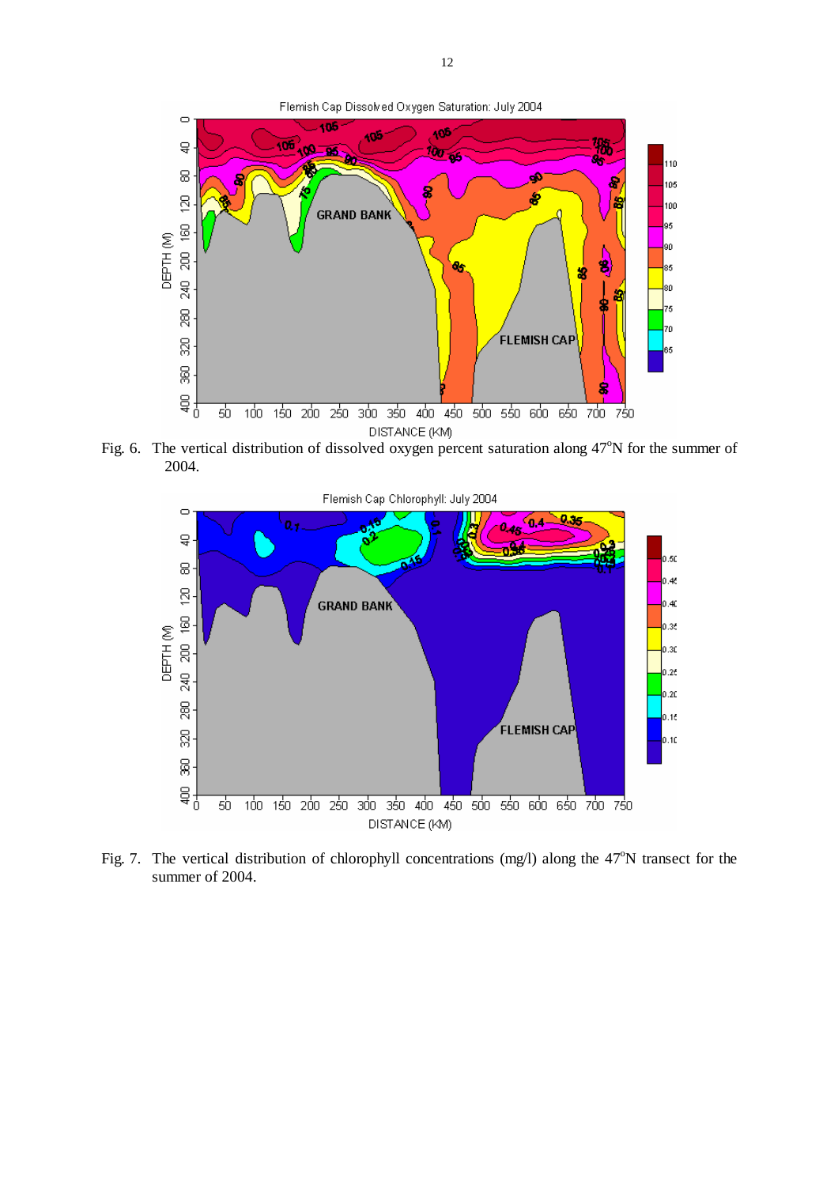

Fig. 6. The vertical distribution of dissolved oxygen percent saturation along  $47^{\circ}$ N for the summer of 2004.



Fig. 7. The vertical distribution of chlorophyll concentrations (mg/l) along the 47°N transect for the summer of 2004.